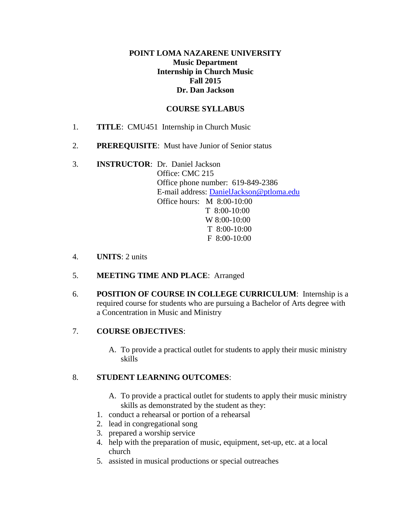#### **POINT LOMA NAZARENE UNIVERSITY Music Department Internship in Church Music Fall 2015 Dr. Dan Jackson**

#### **COURSE SYLLABUS**

- 1. **TITLE**: CMU451 Internship in Church Music
- 2. **PREREQUISITE**: Must have Junior of Senior status
- 3. **INSTRUCTOR**: Dr. Daniel Jackson Office: CMC 215 Office phone number: 619-849-2386 E-mail address: [DanielJackson@ptloma.edu](mailto:DanielJackson@ptloma.edu) Office hours: M 8:00-10:00 T 8:00-10:00 W 8:00-10:00 T 8:00-10:00 F 8:00-10:00
- 4. **UNITS**: 2 units
- 5. **MEETING TIME AND PLACE**: Arranged
- 6. **POSITION OF COURSE IN COLLEGE CURRICULUM**: Internship is a required course for students who are pursuing a Bachelor of Arts degree with a Concentration in Music and Ministry

# 7. **COURSE OBJECTIVES**:

A. To provide a practical outlet for students to apply their music ministry skills

# 8. **STUDENT LEARNING OUTCOMES**:

- A. To provide a practical outlet for students to apply their music ministry skills as demonstrated by the student as they:
- 1. conduct a rehearsal or portion of a rehearsal
- 2. lead in congregational song
- 3. prepared a worship service
- 4. help with the preparation of music, equipment, set-up, etc. at a local church
- 5. assisted in musical productions or special outreaches